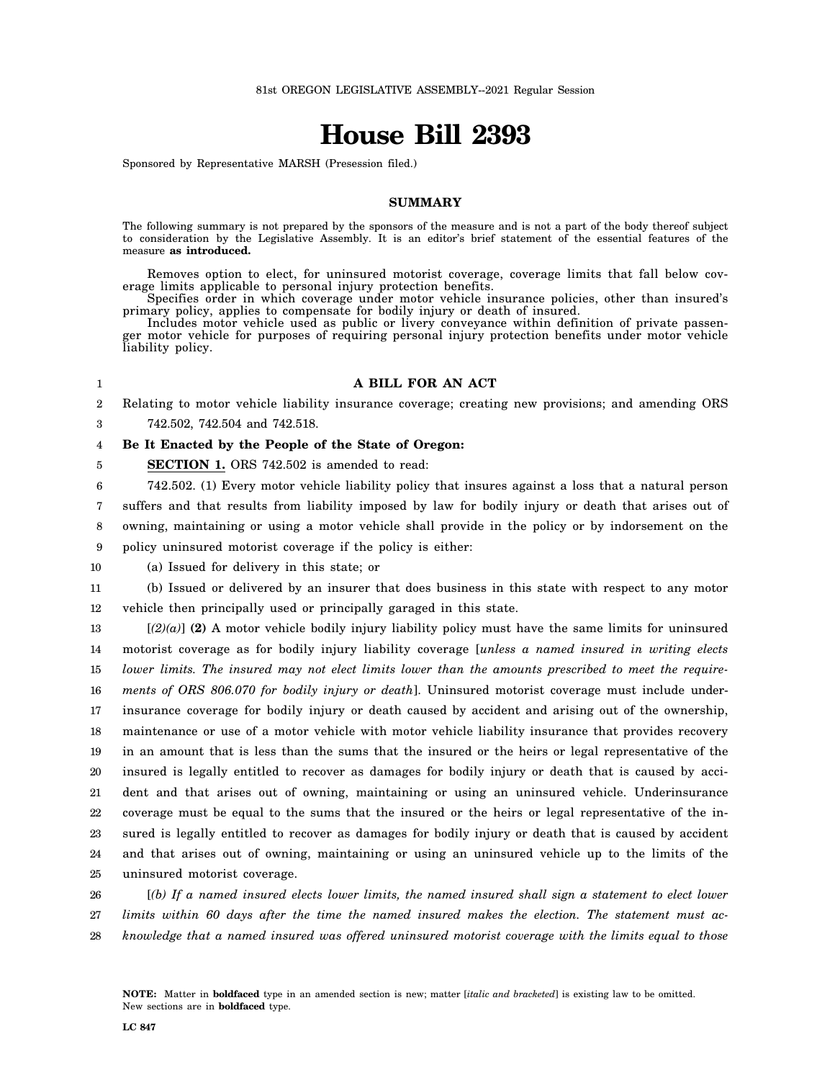# **House Bill 2393**

Sponsored by Representative MARSH (Presession filed.)

## **SUMMARY**

The following summary is not prepared by the sponsors of the measure and is not a part of the body thereof subject to consideration by the Legislative Assembly. It is an editor's brief statement of the essential features of the measure **as introduced.**

Removes option to elect, for uninsured motorist coverage, coverage limits that fall below coverage limits applicable to personal injury protection benefits.

Specifies order in which coverage under motor vehicle insurance policies, other than insured's primary policy, applies to compensate for bodily injury or death of insured.

Includes motor vehicle used as public or livery conveyance within definition of private passenger motor vehicle for purposes of requiring personal injury protection benefits under motor vehicle liability policy.

#### 1

5

## **A BILL FOR AN ACT**

2 3 Relating to motor vehicle liability insurance coverage; creating new provisions; and amending ORS 742.502, 742.504 and 742.518.

#### 4 **Be It Enacted by the People of the State of Oregon:**

**SECTION 1.** ORS 742.502 is amended to read:

6 7 8 9 742.502. (1) Every motor vehicle liability policy that insures against a loss that a natural person suffers and that results from liability imposed by law for bodily injury or death that arises out of owning, maintaining or using a motor vehicle shall provide in the policy or by indorsement on the policy uninsured motorist coverage if the policy is either:

10 (a) Issued for delivery in this state; or

11 12 (b) Issued or delivered by an insurer that does business in this state with respect to any motor vehicle then principally used or principally garaged in this state.

13 14 15 16 17 18 19 20 21 22 23 24 25 [*(2)(a)*] **(2)** A motor vehicle bodily injury liability policy must have the same limits for uninsured motorist coverage as for bodily injury liability coverage [*unless a named insured in writing elects lower limits. The insured may not elect limits lower than the amounts prescribed to meet the requirements of ORS 806.070 for bodily injury or death*]. Uninsured motorist coverage must include underinsurance coverage for bodily injury or death caused by accident and arising out of the ownership, maintenance or use of a motor vehicle with motor vehicle liability insurance that provides recovery in an amount that is less than the sums that the insured or the heirs or legal representative of the insured is legally entitled to recover as damages for bodily injury or death that is caused by accident and that arises out of owning, maintaining or using an uninsured vehicle. Underinsurance coverage must be equal to the sums that the insured or the heirs or legal representative of the insured is legally entitled to recover as damages for bodily injury or death that is caused by accident and that arises out of owning, maintaining or using an uninsured vehicle up to the limits of the uninsured motorist coverage.

26 27 28 [*(b) If a named insured elects lower limits, the named insured shall sign a statement to elect lower limits within 60 days after the time the named insured makes the election. The statement must acknowledge that a named insured was offered uninsured motorist coverage with the limits equal to those*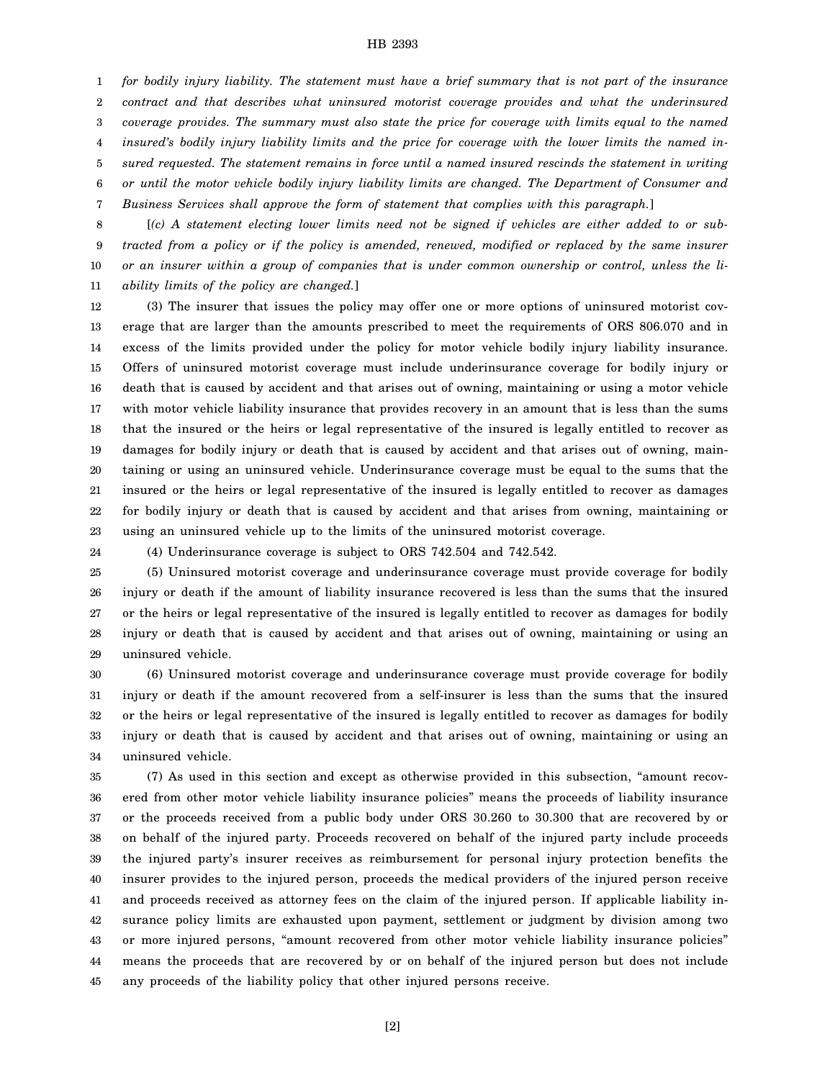1 2 3 4 5 6 7 *for bodily injury liability. The statement must have a brief summary that is not part of the insurance contract and that describes what uninsured motorist coverage provides and what the underinsured coverage provides. The summary must also state the price for coverage with limits equal to the named insured's bodily injury liability limits and the price for coverage with the lower limits the named insured requested. The statement remains in force until a named insured rescinds the statement in writing or until the motor vehicle bodily injury liability limits are changed. The Department of Consumer and Business Services shall approve the form of statement that complies with this paragraph.*]

8 9 10 11 [*(c) A statement electing lower limits need not be signed if vehicles are either added to or subtracted from a policy or if the policy is amended, renewed, modified or replaced by the same insurer or an insurer within a group of companies that is under common ownership or control, unless the liability limits of the policy are changed.*]

12 13 14 15 16 17 18 19 20 21 22 23 (3) The insurer that issues the policy may offer one or more options of uninsured motorist coverage that are larger than the amounts prescribed to meet the requirements of ORS 806.070 and in excess of the limits provided under the policy for motor vehicle bodily injury liability insurance. Offers of uninsured motorist coverage must include underinsurance coverage for bodily injury or death that is caused by accident and that arises out of owning, maintaining or using a motor vehicle with motor vehicle liability insurance that provides recovery in an amount that is less than the sums that the insured or the heirs or legal representative of the insured is legally entitled to recover as damages for bodily injury or death that is caused by accident and that arises out of owning, maintaining or using an uninsured vehicle. Underinsurance coverage must be equal to the sums that the insured or the heirs or legal representative of the insured is legally entitled to recover as damages for bodily injury or death that is caused by accident and that arises from owning, maintaining or using an uninsured vehicle up to the limits of the uninsured motorist coverage.

24

(4) Underinsurance coverage is subject to ORS 742.504 and 742.542.

25 26 27 28 29 (5) Uninsured motorist coverage and underinsurance coverage must provide coverage for bodily injury or death if the amount of liability insurance recovered is less than the sums that the insured or the heirs or legal representative of the insured is legally entitled to recover as damages for bodily injury or death that is caused by accident and that arises out of owning, maintaining or using an uninsured vehicle.

30 31 32 33 34 (6) Uninsured motorist coverage and underinsurance coverage must provide coverage for bodily injury or death if the amount recovered from a self-insurer is less than the sums that the insured or the heirs or legal representative of the insured is legally entitled to recover as damages for bodily injury or death that is caused by accident and that arises out of owning, maintaining or using an uninsured vehicle.

35 36 37 38 39 40 41 42 43 44 45 (7) As used in this section and except as otherwise provided in this subsection, "amount recovered from other motor vehicle liability insurance policies" means the proceeds of liability insurance or the proceeds received from a public body under ORS 30.260 to 30.300 that are recovered by or on behalf of the injured party. Proceeds recovered on behalf of the injured party include proceeds the injured party's insurer receives as reimbursement for personal injury protection benefits the insurer provides to the injured person, proceeds the medical providers of the injured person receive and proceeds received as attorney fees on the claim of the injured person. If applicable liability insurance policy limits are exhausted upon payment, settlement or judgment by division among two or more injured persons, "amount recovered from other motor vehicle liability insurance policies" means the proceeds that are recovered by or on behalf of the injured person but does not include any proceeds of the liability policy that other injured persons receive.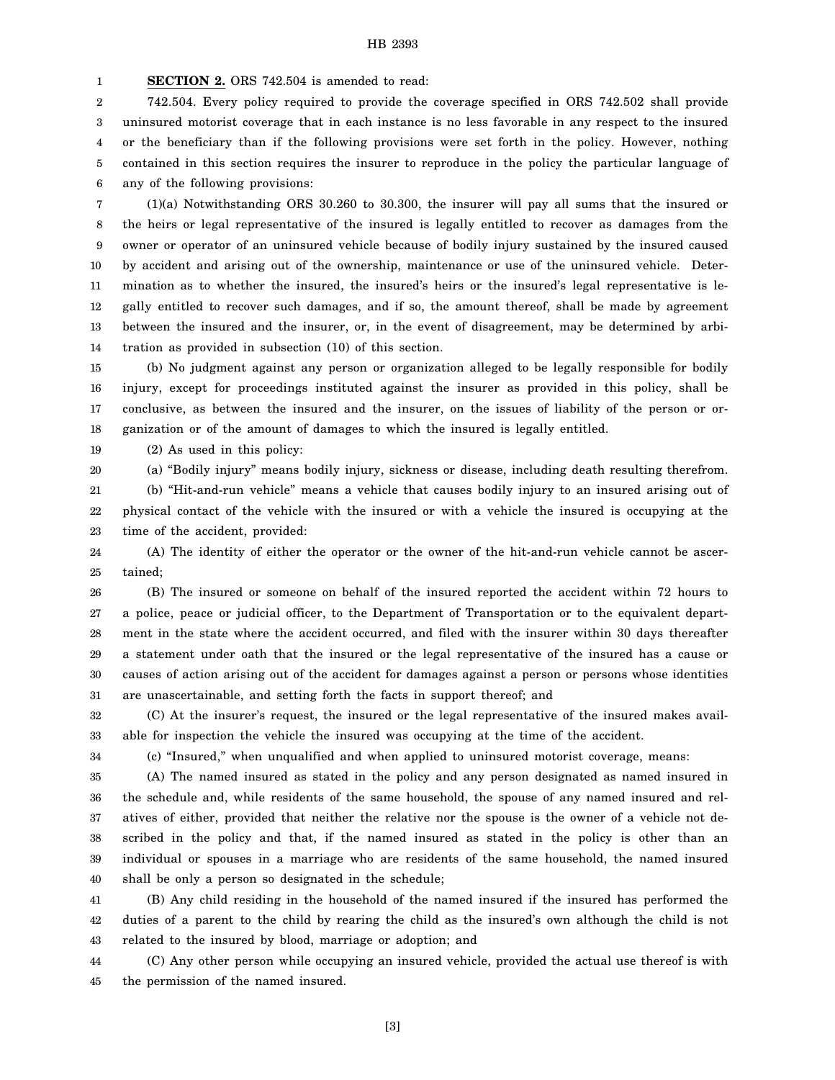1 **SECTION 2.** ORS 742.504 is amended to read:

2 3 4 5 6 742.504. Every policy required to provide the coverage specified in ORS 742.502 shall provide uninsured motorist coverage that in each instance is no less favorable in any respect to the insured or the beneficiary than if the following provisions were set forth in the policy. However, nothing contained in this section requires the insurer to reproduce in the policy the particular language of any of the following provisions:

7 8 9 10 11 12 13 14 (1)(a) Notwithstanding ORS 30.260 to 30.300, the insurer will pay all sums that the insured or the heirs or legal representative of the insured is legally entitled to recover as damages from the owner or operator of an uninsured vehicle because of bodily injury sustained by the insured caused by accident and arising out of the ownership, maintenance or use of the uninsured vehicle. Determination as to whether the insured, the insured's heirs or the insured's legal representative is legally entitled to recover such damages, and if so, the amount thereof, shall be made by agreement between the insured and the insurer, or, in the event of disagreement, may be determined by arbitration as provided in subsection (10) of this section.

15 16 17 18 (b) No judgment against any person or organization alleged to be legally responsible for bodily injury, except for proceedings instituted against the insurer as provided in this policy, shall be conclusive, as between the insured and the insurer, on the issues of liability of the person or organization or of the amount of damages to which the insured is legally entitled.

19 (2) As used in this policy:

20 (a) "Bodily injury" means bodily injury, sickness or disease, including death resulting therefrom.

21 22 23 (b) "Hit-and-run vehicle" means a vehicle that causes bodily injury to an insured arising out of physical contact of the vehicle with the insured or with a vehicle the insured is occupying at the time of the accident, provided:

24 25 (A) The identity of either the operator or the owner of the hit-and-run vehicle cannot be ascertained;

26 27 28 29 30 31 (B) The insured or someone on behalf of the insured reported the accident within 72 hours to a police, peace or judicial officer, to the Department of Transportation or to the equivalent department in the state where the accident occurred, and filed with the insurer within 30 days thereafter a statement under oath that the insured or the legal representative of the insured has a cause or causes of action arising out of the accident for damages against a person or persons whose identities are unascertainable, and setting forth the facts in support thereof; and

32 33 (C) At the insurer's request, the insured or the legal representative of the insured makes available for inspection the vehicle the insured was occupying at the time of the accident.

34

(c) "Insured," when unqualified and when applied to uninsured motorist coverage, means:

35 36 37 38 39 40 (A) The named insured as stated in the policy and any person designated as named insured in the schedule and, while residents of the same household, the spouse of any named insured and relatives of either, provided that neither the relative nor the spouse is the owner of a vehicle not described in the policy and that, if the named insured as stated in the policy is other than an individual or spouses in a marriage who are residents of the same household, the named insured shall be only a person so designated in the schedule;

41 42 43 (B) Any child residing in the household of the named insured if the insured has performed the duties of a parent to the child by rearing the child as the insured's own although the child is not related to the insured by blood, marriage or adoption; and

44 45 (C) Any other person while occupying an insured vehicle, provided the actual use thereof is with the permission of the named insured.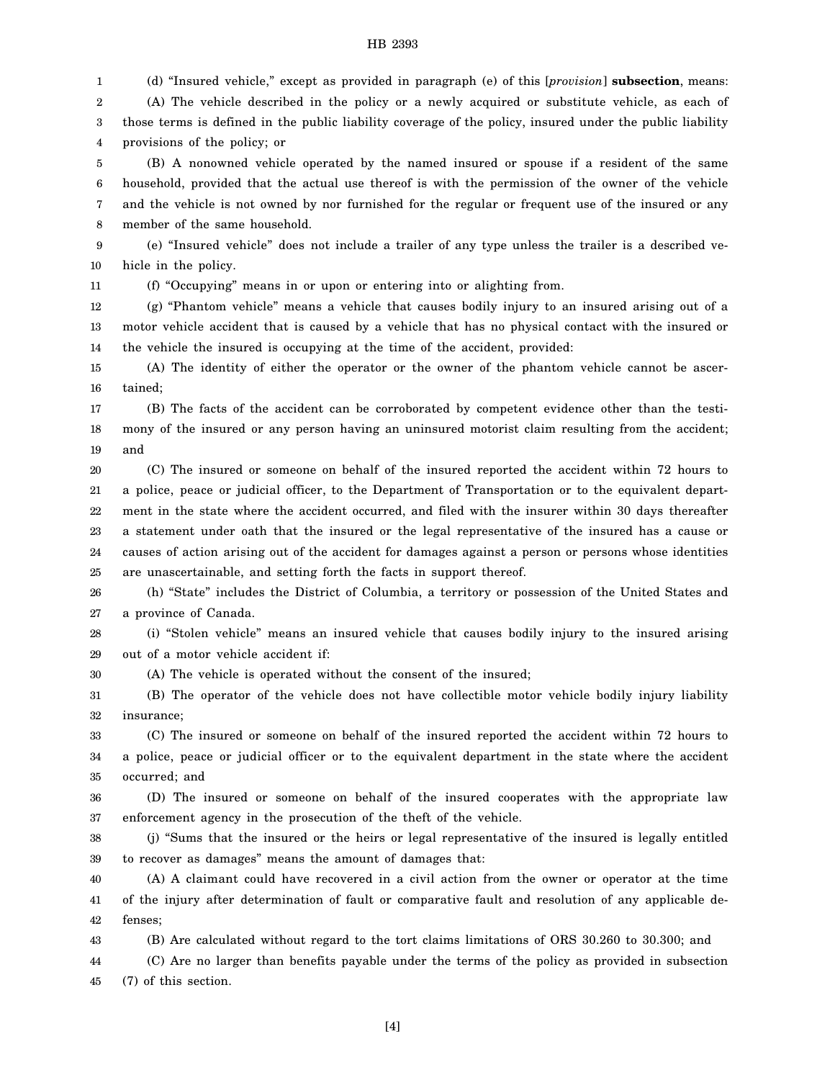1 2 3 4 5 6 7 (d) "Insured vehicle," except as provided in paragraph (e) of this [*provision*] **subsection**, means: (A) The vehicle described in the policy or a newly acquired or substitute vehicle, as each of those terms is defined in the public liability coverage of the policy, insured under the public liability provisions of the policy; or (B) A nonowned vehicle operated by the named insured or spouse if a resident of the same household, provided that the actual use thereof is with the permission of the owner of the vehicle and the vehicle is not owned by nor furnished for the regular or frequent use of the insured or any

8 member of the same household.

30

9 10 (e) "Insured vehicle" does not include a trailer of any type unless the trailer is a described vehicle in the policy.

11 (f) "Occupying" means in or upon or entering into or alighting from.

12 13 14 (g) "Phantom vehicle" means a vehicle that causes bodily injury to an insured arising out of a motor vehicle accident that is caused by a vehicle that has no physical contact with the insured or the vehicle the insured is occupying at the time of the accident, provided:

15 16 (A) The identity of either the operator or the owner of the phantom vehicle cannot be ascertained;

17 18 19 (B) The facts of the accident can be corroborated by competent evidence other than the testimony of the insured or any person having an uninsured motorist claim resulting from the accident; and

20 21 22 23 24 25 (C) The insured or someone on behalf of the insured reported the accident within 72 hours to a police, peace or judicial officer, to the Department of Transportation or to the equivalent department in the state where the accident occurred, and filed with the insurer within 30 days thereafter a statement under oath that the insured or the legal representative of the insured has a cause or causes of action arising out of the accident for damages against a person or persons whose identities are unascertainable, and setting forth the facts in support thereof.

26 27 (h) "State" includes the District of Columbia, a territory or possession of the United States and a province of Canada.

28 29 (i) "Stolen vehicle" means an insured vehicle that causes bodily injury to the insured arising out of a motor vehicle accident if:

(A) The vehicle is operated without the consent of the insured;

31 32 (B) The operator of the vehicle does not have collectible motor vehicle bodily injury liability insurance;

33 34 35 (C) The insured or someone on behalf of the insured reported the accident within 72 hours to a police, peace or judicial officer or to the equivalent department in the state where the accident occurred; and

36 37 (D) The insured or someone on behalf of the insured cooperates with the appropriate law enforcement agency in the prosecution of the theft of the vehicle.

38 39 (j) "Sums that the insured or the heirs or legal representative of the insured is legally entitled to recover as damages" means the amount of damages that:

40 41 42 (A) A claimant could have recovered in a civil action from the owner or operator at the time of the injury after determination of fault or comparative fault and resolution of any applicable defenses;

43 (B) Are calculated without regard to the tort claims limitations of ORS 30.260 to 30.300; and

44 45 (C) Are no larger than benefits payable under the terms of the policy as provided in subsection (7) of this section.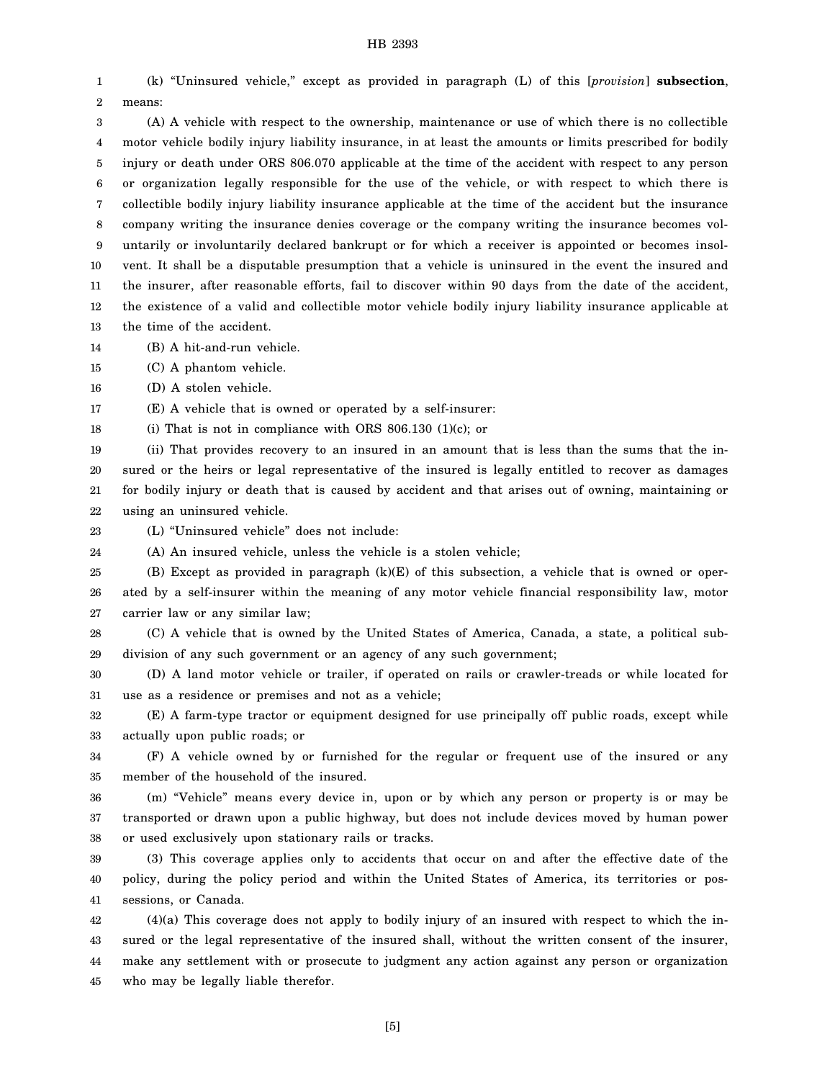1 2 (k) "Uninsured vehicle," except as provided in paragraph (L) of this [*provision*] **subsection**, means:

3 4 5 6 7 8 9 10 11 12 13 (A) A vehicle with respect to the ownership, maintenance or use of which there is no collectible motor vehicle bodily injury liability insurance, in at least the amounts or limits prescribed for bodily injury or death under ORS 806.070 applicable at the time of the accident with respect to any person or organization legally responsible for the use of the vehicle, or with respect to which there is collectible bodily injury liability insurance applicable at the time of the accident but the insurance company writing the insurance denies coverage or the company writing the insurance becomes voluntarily or involuntarily declared bankrupt or for which a receiver is appointed or becomes insolvent. It shall be a disputable presumption that a vehicle is uninsured in the event the insured and the insurer, after reasonable efforts, fail to discover within 90 days from the date of the accident, the existence of a valid and collectible motor vehicle bodily injury liability insurance applicable at the time of the accident.

14 (B) A hit-and-run vehicle.

15 (C) A phantom vehicle.

16 (D) A stolen vehicle.

17 (E) A vehicle that is owned or operated by a self-insurer:

18 (i) That is not in compliance with ORS 806.130 (1)(c); or

19 20 21 22 (ii) That provides recovery to an insured in an amount that is less than the sums that the insured or the heirs or legal representative of the insured is legally entitled to recover as damages for bodily injury or death that is caused by accident and that arises out of owning, maintaining or using an uninsured vehicle.

23 (L) "Uninsured vehicle" does not include:

24 (A) An insured vehicle, unless the vehicle is a stolen vehicle;

25 26 27 (B) Except as provided in paragraph (k)(E) of this subsection, a vehicle that is owned or operated by a self-insurer within the meaning of any motor vehicle financial responsibility law, motor carrier law or any similar law;

28 29 (C) A vehicle that is owned by the United States of America, Canada, a state, a political subdivision of any such government or an agency of any such government;

30 31 (D) A land motor vehicle or trailer, if operated on rails or crawler-treads or while located for use as a residence or premises and not as a vehicle;

32 33 (E) A farm-type tractor or equipment designed for use principally off public roads, except while actually upon public roads; or

34 35 (F) A vehicle owned by or furnished for the regular or frequent use of the insured or any member of the household of the insured.

36 37 38 (m) "Vehicle" means every device in, upon or by which any person or property is or may be transported or drawn upon a public highway, but does not include devices moved by human power or used exclusively upon stationary rails or tracks.

39 40 41 (3) This coverage applies only to accidents that occur on and after the effective date of the policy, during the policy period and within the United States of America, its territories or possessions, or Canada.

42 43 44 45 (4)(a) This coverage does not apply to bodily injury of an insured with respect to which the insured or the legal representative of the insured shall, without the written consent of the insurer, make any settlement with or prosecute to judgment any action against any person or organization who may be legally liable therefor.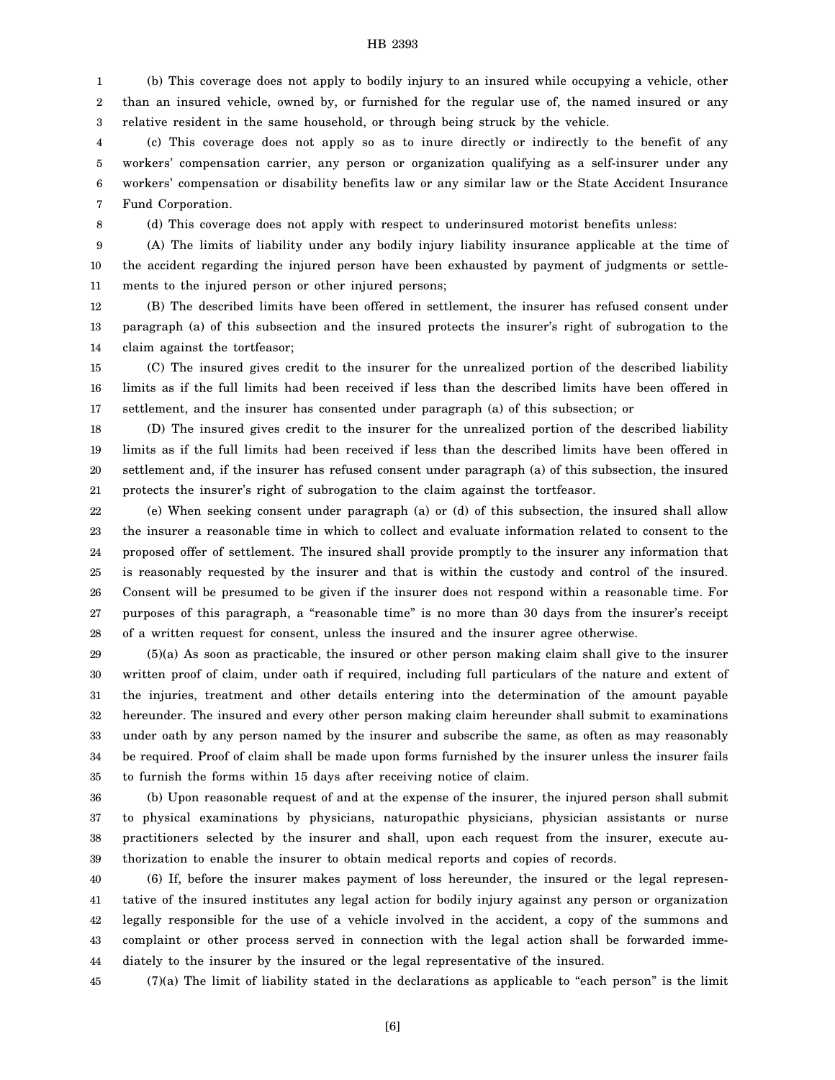1 2 3 (b) This coverage does not apply to bodily injury to an insured while occupying a vehicle, other than an insured vehicle, owned by, or furnished for the regular use of, the named insured or any relative resident in the same household, or through being struck by the vehicle.

4 5 6 7 (c) This coverage does not apply so as to inure directly or indirectly to the benefit of any workers' compensation carrier, any person or organization qualifying as a self-insurer under any workers' compensation or disability benefits law or any similar law or the State Accident Insurance Fund Corporation.

8

(d) This coverage does not apply with respect to underinsured motorist benefits unless:

9 10 11 (A) The limits of liability under any bodily injury liability insurance applicable at the time of the accident regarding the injured person have been exhausted by payment of judgments or settlements to the injured person or other injured persons;

12 13 14 (B) The described limits have been offered in settlement, the insurer has refused consent under paragraph (a) of this subsection and the insured protects the insurer's right of subrogation to the claim against the tortfeasor;

15 16 17 (C) The insured gives credit to the insurer for the unrealized portion of the described liability limits as if the full limits had been received if less than the described limits have been offered in settlement, and the insurer has consented under paragraph (a) of this subsection; or

18 19 20 21 (D) The insured gives credit to the insurer for the unrealized portion of the described liability limits as if the full limits had been received if less than the described limits have been offered in settlement and, if the insurer has refused consent under paragraph (a) of this subsection, the insured protects the insurer's right of subrogation to the claim against the tortfeasor.

22 23 24 25 26 27 28 (e) When seeking consent under paragraph (a) or (d) of this subsection, the insured shall allow the insurer a reasonable time in which to collect and evaluate information related to consent to the proposed offer of settlement. The insured shall provide promptly to the insurer any information that is reasonably requested by the insurer and that is within the custody and control of the insured. Consent will be presumed to be given if the insurer does not respond within a reasonable time. For purposes of this paragraph, a "reasonable time" is no more than 30 days from the insurer's receipt of a written request for consent, unless the insured and the insurer agree otherwise.

29 30 31 32 33 34 35 (5)(a) As soon as practicable, the insured or other person making claim shall give to the insurer written proof of claim, under oath if required, including full particulars of the nature and extent of the injuries, treatment and other details entering into the determination of the amount payable hereunder. The insured and every other person making claim hereunder shall submit to examinations under oath by any person named by the insurer and subscribe the same, as often as may reasonably be required. Proof of claim shall be made upon forms furnished by the insurer unless the insurer fails to furnish the forms within 15 days after receiving notice of claim.

36 37 38 39 (b) Upon reasonable request of and at the expense of the insurer, the injured person shall submit to physical examinations by physicians, naturopathic physicians, physician assistants or nurse practitioners selected by the insurer and shall, upon each request from the insurer, execute authorization to enable the insurer to obtain medical reports and copies of records.

40 41 42 43 44 (6) If, before the insurer makes payment of loss hereunder, the insured or the legal representative of the insured institutes any legal action for bodily injury against any person or organization legally responsible for the use of a vehicle involved in the accident, a copy of the summons and complaint or other process served in connection with the legal action shall be forwarded immediately to the insurer by the insured or the legal representative of the insured.

45 (7)(a) The limit of liability stated in the declarations as applicable to "each person" is the limit

[6]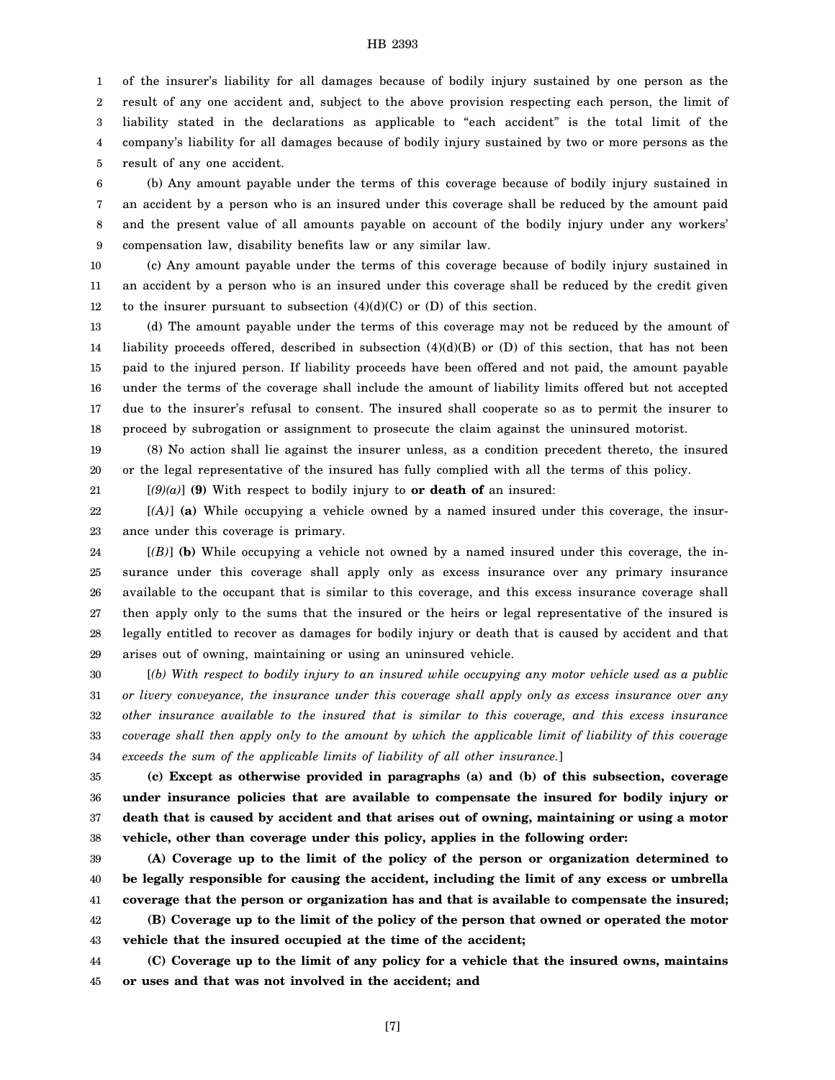1 2 3 4 5 of the insurer's liability for all damages because of bodily injury sustained by one person as the result of any one accident and, subject to the above provision respecting each person, the limit of liability stated in the declarations as applicable to "each accident" is the total limit of the company's liability for all damages because of bodily injury sustained by two or more persons as the result of any one accident.

6 7 8 9 (b) Any amount payable under the terms of this coverage because of bodily injury sustained in an accident by a person who is an insured under this coverage shall be reduced by the amount paid and the present value of all amounts payable on account of the bodily injury under any workers' compensation law, disability benefits law or any similar law.

10 11 12 (c) Any amount payable under the terms of this coverage because of bodily injury sustained in an accident by a person who is an insured under this coverage shall be reduced by the credit given to the insurer pursuant to subsection  $(4)(d)(C)$  or  $(D)$  of this section.

13 14 15 16 17 18 (d) The amount payable under the terms of this coverage may not be reduced by the amount of liability proceeds offered, described in subsection  $(4)(d)(B)$  or  $(D)$  of this section, that has not been paid to the injured person. If liability proceeds have been offered and not paid, the amount payable under the terms of the coverage shall include the amount of liability limits offered but not accepted due to the insurer's refusal to consent. The insured shall cooperate so as to permit the insurer to proceed by subrogation or assignment to prosecute the claim against the uninsured motorist.

19 20 (8) No action shall lie against the insurer unless, as a condition precedent thereto, the insured or the legal representative of the insured has fully complied with all the terms of this policy.

21

[*(9)(a)*] **(9)** With respect to bodily injury to **or death of** an insured:

22 23 [*(A)*] **(a)** While occupying a vehicle owned by a named insured under this coverage, the insurance under this coverage is primary.

24 25 26 27 28 29 [*(B)*] **(b)** While occupying a vehicle not owned by a named insured under this coverage, the insurance under this coverage shall apply only as excess insurance over any primary insurance available to the occupant that is similar to this coverage, and this excess insurance coverage shall then apply only to the sums that the insured or the heirs or legal representative of the insured is legally entitled to recover as damages for bodily injury or death that is caused by accident and that arises out of owning, maintaining or using an uninsured vehicle.

30 31 32 33 34 [*(b) With respect to bodily injury to an insured while occupying any motor vehicle used as a public or livery conveyance, the insurance under this coverage shall apply only as excess insurance over any other insurance available to the insured that is similar to this coverage, and this excess insurance coverage shall then apply only to the amount by which the applicable limit of liability of this coverage exceeds the sum of the applicable limits of liability of all other insurance.*]

35 36 37 38 **(c) Except as otherwise provided in paragraphs (a) and (b) of this subsection, coverage under insurance policies that are available to compensate the insured for bodily injury or death that is caused by accident and that arises out of owning, maintaining or using a motor vehicle, other than coverage under this policy, applies in the following order:**

39 40 41 42 43 **(A) Coverage up to the limit of the policy of the person or organization determined to be legally responsible for causing the accident, including the limit of any excess or umbrella coverage that the person or organization has and that is available to compensate the insured; (B) Coverage up to the limit of the policy of the person that owned or operated the motor vehicle that the insured occupied at the time of the accident;**

44 45 **(C) Coverage up to the limit of any policy for a vehicle that the insured owns, maintains or uses and that was not involved in the accident; and**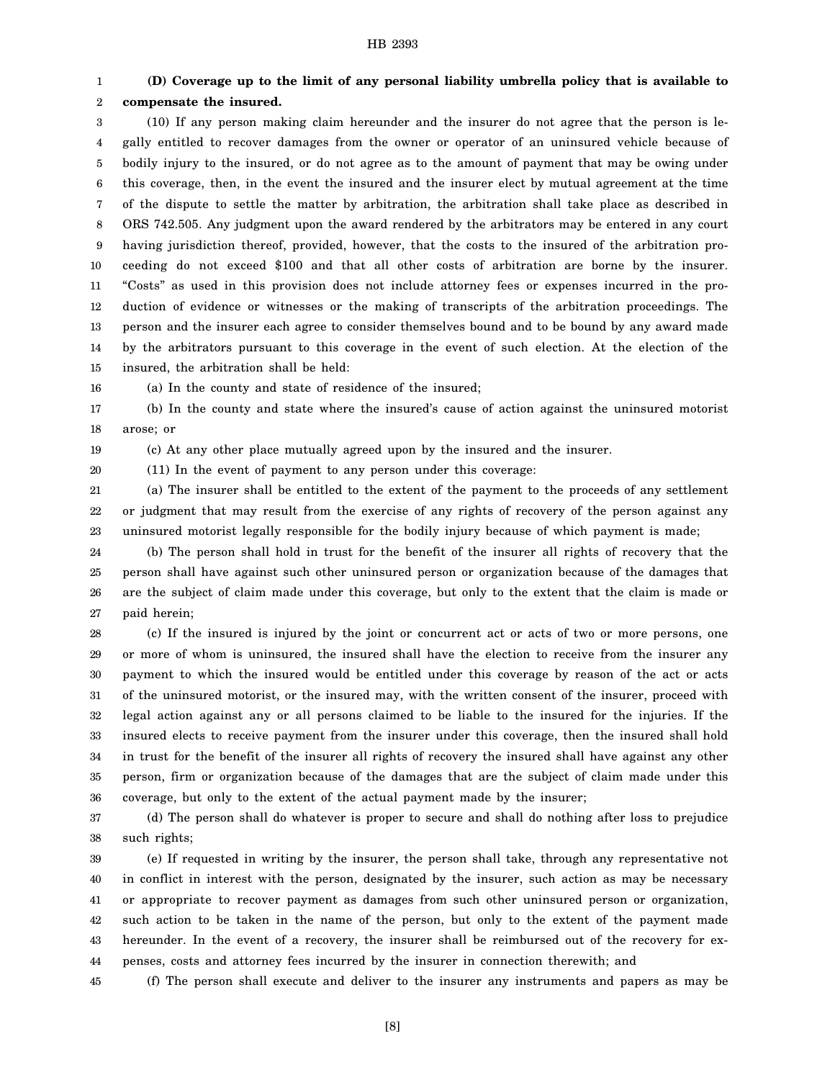#### 1 2 **(D) Coverage up to the limit of any personal liability umbrella policy that is available to compensate the insured.**

3 4 5 6 7 8 9 10 11 12 13 14 15 (10) If any person making claim hereunder and the insurer do not agree that the person is legally entitled to recover damages from the owner or operator of an uninsured vehicle because of bodily injury to the insured, or do not agree as to the amount of payment that may be owing under this coverage, then, in the event the insured and the insurer elect by mutual agreement at the time of the dispute to settle the matter by arbitration, the arbitration shall take place as described in ORS 742.505. Any judgment upon the award rendered by the arbitrators may be entered in any court having jurisdiction thereof, provided, however, that the costs to the insured of the arbitration proceeding do not exceed \$100 and that all other costs of arbitration are borne by the insurer. "Costs" as used in this provision does not include attorney fees or expenses incurred in the production of evidence or witnesses or the making of transcripts of the arbitration proceedings. The person and the insurer each agree to consider themselves bound and to be bound by any award made by the arbitrators pursuant to this coverage in the event of such election. At the election of the insured, the arbitration shall be held:

16 (a) In the county and state of residence of the insured;

(11) In the event of payment to any person under this coverage:

17 18 (b) In the county and state where the insured's cause of action against the uninsured motorist arose; or

19 (c) At any other place mutually agreed upon by the insured and the insurer.

20

21 22 23 (a) The insurer shall be entitled to the extent of the payment to the proceeds of any settlement or judgment that may result from the exercise of any rights of recovery of the person against any uninsured motorist legally responsible for the bodily injury because of which payment is made;

24 25 26 27 (b) The person shall hold in trust for the benefit of the insurer all rights of recovery that the person shall have against such other uninsured person or organization because of the damages that are the subject of claim made under this coverage, but only to the extent that the claim is made or paid herein;

28 29 30 31 32 33 34 35 36 (c) If the insured is injured by the joint or concurrent act or acts of two or more persons, one or more of whom is uninsured, the insured shall have the election to receive from the insurer any payment to which the insured would be entitled under this coverage by reason of the act or acts of the uninsured motorist, or the insured may, with the written consent of the insurer, proceed with legal action against any or all persons claimed to be liable to the insured for the injuries. If the insured elects to receive payment from the insurer under this coverage, then the insured shall hold in trust for the benefit of the insurer all rights of recovery the insured shall have against any other person, firm or organization because of the damages that are the subject of claim made under this coverage, but only to the extent of the actual payment made by the insurer;

37 38 (d) The person shall do whatever is proper to secure and shall do nothing after loss to prejudice such rights;

39 40 41 42 43 44 (e) If requested in writing by the insurer, the person shall take, through any representative not in conflict in interest with the person, designated by the insurer, such action as may be necessary or appropriate to recover payment as damages from such other uninsured person or organization, such action to be taken in the name of the person, but only to the extent of the payment made hereunder. In the event of a recovery, the insurer shall be reimbursed out of the recovery for expenses, costs and attorney fees incurred by the insurer in connection therewith; and

45 (f) The person shall execute and deliver to the insurer any instruments and papers as may be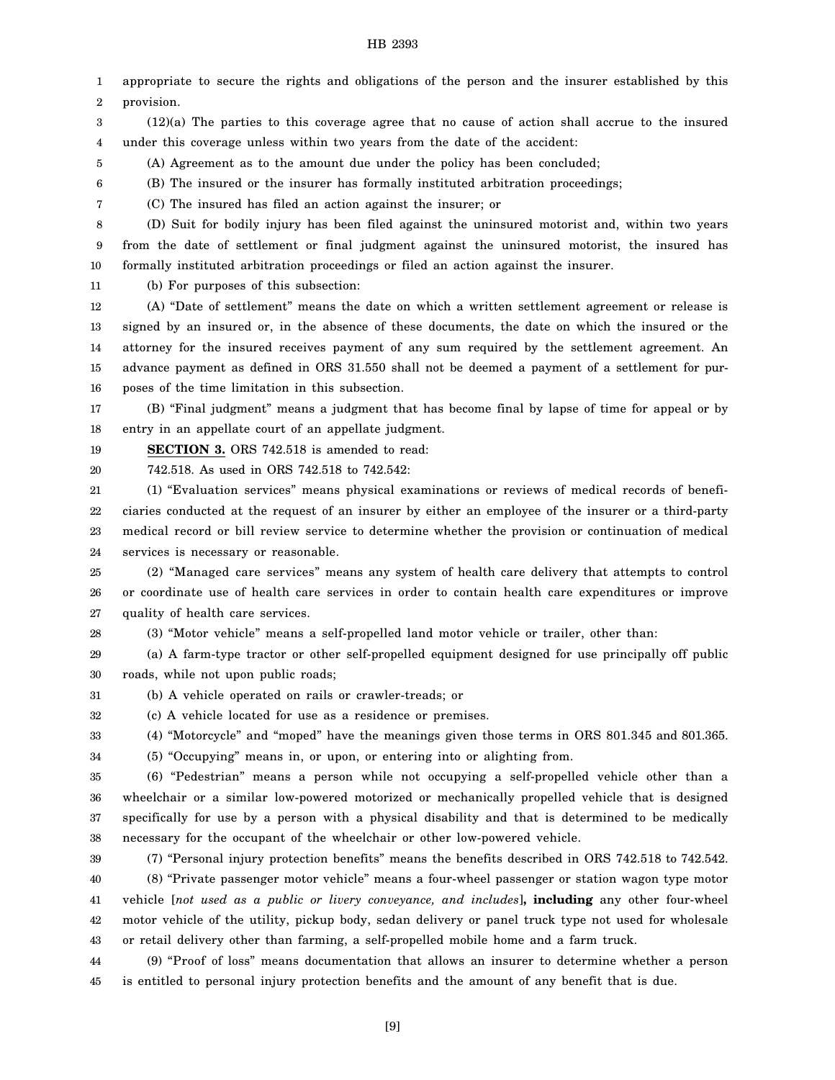1 2 appropriate to secure the rights and obligations of the person and the insurer established by this provision.

3 4 (12)(a) The parties to this coverage agree that no cause of action shall accrue to the insured under this coverage unless within two years from the date of the accident:

5 (A) Agreement as to the amount due under the policy has been concluded;

(B) The insured or the insurer has formally instituted arbitration proceedings;

(C) The insured has filed an action against the insurer; or

8 9 10 (D) Suit for bodily injury has been filed against the uninsured motorist and, within two years from the date of settlement or final judgment against the uninsured motorist, the insured has formally instituted arbitration proceedings or filed an action against the insurer.

11

6 7

(b) For purposes of this subsection:

12 13 14 15 16 (A) "Date of settlement" means the date on which a written settlement agreement or release is signed by an insured or, in the absence of these documents, the date on which the insured or the attorney for the insured receives payment of any sum required by the settlement agreement. An advance payment as defined in ORS 31.550 shall not be deemed a payment of a settlement for purposes of the time limitation in this subsection.

17 18 (B) "Final judgment" means a judgment that has become final by lapse of time for appeal or by entry in an appellate court of an appellate judgment.

19 **SECTION 3.** ORS 742.518 is amended to read:

20 742.518. As used in ORS 742.518 to 742.542:

21 22 23 24 (1) "Evaluation services" means physical examinations or reviews of medical records of beneficiaries conducted at the request of an insurer by either an employee of the insurer or a third-party medical record or bill review service to determine whether the provision or continuation of medical services is necessary or reasonable.

25 26 27 (2) "Managed care services" means any system of health care delivery that attempts to control or coordinate use of health care services in order to contain health care expenditures or improve quality of health care services.

28 (3) "Motor vehicle" means a self-propelled land motor vehicle or trailer, other than:

29 30 (a) A farm-type tractor or other self-propelled equipment designed for use principally off public roads, while not upon public roads;

31 (b) A vehicle operated on rails or crawler-treads; or

32 (c) A vehicle located for use as a residence or premises.

33 (4) "Motorcycle" and "moped" have the meanings given those terms in ORS 801.345 and 801.365.

34 (5) "Occupying" means in, or upon, or entering into or alighting from.

35 36 37 38 (6) "Pedestrian" means a person while not occupying a self-propelled vehicle other than a wheelchair or a similar low-powered motorized or mechanically propelled vehicle that is designed specifically for use by a person with a physical disability and that is determined to be medically necessary for the occupant of the wheelchair or other low-powered vehicle.

39

(7) "Personal injury protection benefits" means the benefits described in ORS 742.518 to 742.542.

40 41 42 43 (8) "Private passenger motor vehicle" means a four-wheel passenger or station wagon type motor vehicle [*not used as a public or livery conveyance, and includes*]**, including** any other four-wheel motor vehicle of the utility, pickup body, sedan delivery or panel truck type not used for wholesale or retail delivery other than farming, a self-propelled mobile home and a farm truck.

44 45 (9) "Proof of loss" means documentation that allows an insurer to determine whether a person is entitled to personal injury protection benefits and the amount of any benefit that is due.